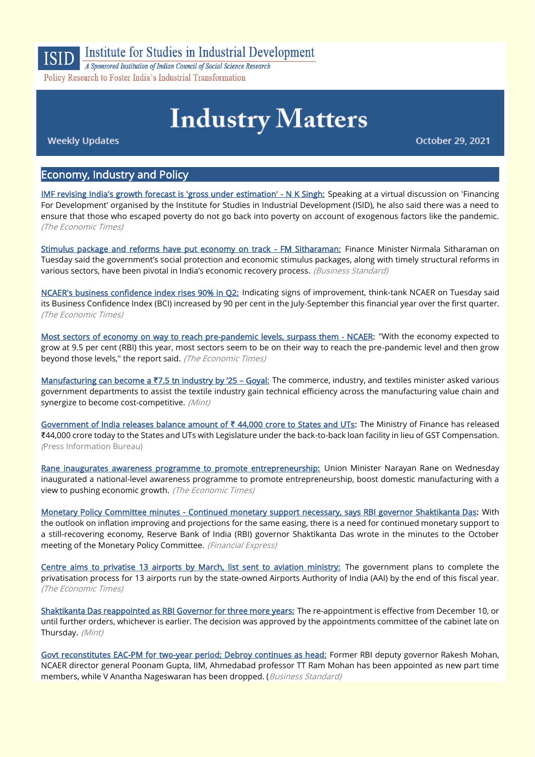

## **Institute for Studies in Industrial Development**

A Sponsored Institution of Indian Council of Social Science Research Policy Research to Foster India's Industrial Transformation

# **Industry Matters**

**Weekly Updates** 

October 29, 2021

#### Economy, Industry and Policy

[IMF revising India's growth forecast is 'gross under estimation' - N K Singh:](https://economictimes.indiatimes.com/news/economy/indicators/imf-revising-indias-growth-forecast-is-gross-under-estimation-n-k-singh/articleshow/87285235.cms) Speaking at a virtual discussion on 'Financing For Development' organised by the Institute for Studies in Industrial Development (ISID), he also said there was a need to ensure that those who escaped poverty do not go back into poverty on account of exogenous factors like the pandemic. (The Economic Times)

[Stimulus package and reforms have put economy on track - FM Sitharaman:](https://www.business-standard.com/article/economy-policy/stimulus-package-and-reforms-have-put-economy-on-track-fm-sitharaman-121102700046_1.html) Finance Minister Nirmala Sitharaman on Tuesday said the government's social protection and economic stimulus packages, along with timely structural reforms in various sectors, have been pivotal in India's economic recovery process. (Business Standard)

[NCAER's business confidence index rises 90% in Q2:](https://economictimes.indiatimes.com/news/economy/indicators/ncaers-business-confidence-index-rises-90-in-q2/articleshow/87279068.cms) Indicating signs of improvement, think-tank NCAER on Tuesday said its Business Confidence Index (BCI) increased by 90 per cent in the July-September this financial year over the first quarter. (The Economic Times)

[Most sectors of economy on way to reach pre-pandemic levels, surpass them - NCAER:](https://economictimes.indiatimes.com/news/economy/indicators/most-sectors-of-economy-on-way-to-reach-pre-pandemic-levels-surpass-them-ncaer/articleshow/87337514.cms) "With the economy expected to grow at 9.5 per cent (RBI) this year, most sectors seem to be on their way to reach the pre-pandemic level and then grow beyond those levels," the report said. (The Economic Times)

[Manufacturing can become a](https://www.livemint.com/industry/manufacturing/manufacturing-can-become-a-7-5-tn-industry-by-25-goyal-11635103625326.html) **₹**7.5 tn industry by '25 – Goyal: The commerce, industry, and textiles minister asked various government departments to assist the textile industry gain technical efficiency across the manufacturing value chain and synergize to become cost-competitive. (Mint)

[Government of India releases balance amount of](https://www.pib.gov.in/PressReleasePage.aspx?PRID=1767194) **₹** 44,000 crore to States and UTs: The Ministry of Finance has released ₹44,000 crore today to the States and UTs with Legislature under the back-to-back loan facility in lieu of GST Compensation. (Press Information Bureau)

[Rane inaugurates awareness programme to promote entrepreneurship:](https://economictimes.indiatimes.com/small-biz/sme-sector/rane-inaugurates-awareness-programme-to-promote-entrepreneurship/articleshow/87324702.cms) Union Minister Narayan Rane on Wednesday inaugurated a national-level awareness programme to promote entrepreneurship, boost domestic manufacturing with a view to pushing economic growth. (The Economic Times)

[Monetary Policy Committee minutes - Continued monetary support necessary, says RBI governor Shaktikanta Das:](https://www.financialexpress.com/economy/monetary-policy-committee-minutes-continued-monetary-support-necessary-says-rbi-governor-shaktikanta-das/2355173/) With the outlook on inflation improving and projections for the same easing, there is a need for continued monetary support to a still-recovering economy, Reserve Bank of India (RBI) governor Shaktikanta Das wrote in the minutes to the October meeting of the Monetary Policy Committee. (Financial Express)

[Centre aims to privatise 13 airports by March, list sent to aviation ministry:](https://economictimes.indiatimes.com/industry/transportation/airlines-/-aviation/centre-aims-to-privatise-13-airports-by-march-list-sent-to-aviation-ministry/articleshow/87267463.cms) The government plans to complete the privatisation process for 13 airports run by the state-owned Airports Authority of India (AAI) by the end of this fiscal year. (The Economic Times)

[Shaktikanta Das reappointed as RBI Governor for three more years:](https://www.livemint.com/industry/banking/shaktikanta-das-reappointed-as-rbi-governor-for-three-more-years-11635472406556.html) The re-appointment is effective from December 10, or until further orders, whichever is earlier. The decision was approved by the appointments committee of the cabinet late on Thursday. (Mint)

[Govt reconstitutes EAC-PM for two-year period; Debroy continues as head:](https://www.business-standard.com/article/economy-policy/govt-reconstitutes-eac-pm-for-two-year-period-debroy-continues-as-head-121102701879_1.html) Former RBI deputy governor Rakesh Mohan, NCAER director general Poonam Gupta, IIM, Ahmedabad professor TT Ram Mohan has been appointed as new part time members, while V Anantha Nageswaran has been dropped. (Business Standard)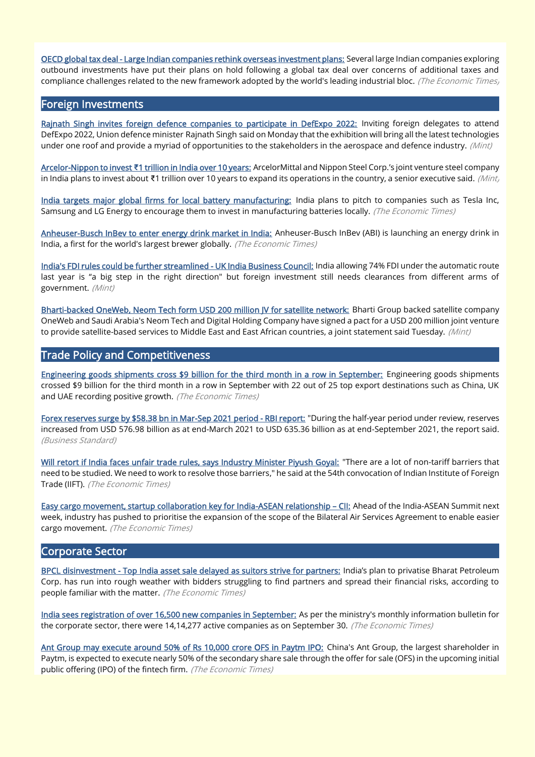[OECD global tax deal - Large Indian companies rethink overseas investment plans:](https://economictimes.indiatimes.com/news/economy/policy/oecd-global-tax-deal-large-indian-companies-rethink-overseas-investment-plans/articleshow/87265081.cms) Several large Indian companies exploring outbound investments have put their plans on hold following a global tax deal over concerns of additional taxes and compliance challenges related to the new framework adopted by the world's leading industrial bloc. (The Economic Times)

#### Foreign Investments

[Rajnath Singh invites foreign defence companies to participate in DefExpo 2022:](https://www.livemint.com/news/india/rajnath-singh-invites-foreign-defence-companies-to-participate-in-defexpo-2022-11635162377450.html) Inviting foreign delegates to attend DefExpo 2022, Union defence minister Rajnath Singh said on Monday that the exhibition will bring all the latest technologies under one roof and provide a myriad of opportunities to the stakeholders in the aerospace and defence industry. (Mint)

Arcelor-Nippon to invest **₹**[1 trillion in India over 10 years:](https://www.livemint.com/companies/news/arcelornippon-to-invest-1-trillion-in-india-over-10-years-11635271700511.html) ArcelorMittal and Nippon Steel Corp.'s joint venture steel company in India plans to invest about ₹1 trillion over 10 years to expand its operations in the country, a senior executive said. (Mint,

[India targets major global firms for local battery manufacturing:](https://economictimes.indiatimes.com/industry/renewables/india-targets-major-global-firms-for-local-battery-manufacturing/articleshow/87287765.cms) India plans to pitch to companies such as Tesla Inc, Samsung and LG Energy to encourage them to invest in manufacturing batteries locally. (The Economic Times)

[Anheuser-Busch InBev to enter energy drink market in India:](https://economictimes.indiatimes.com/industry/cons-products/food/anheuser-busch-inbev-to-enter-energy-drink-market-in-india/articleshow/87329096.cms) Anheuser-Busch InBev (ABI) is launching an energy drink in India, a first for the world's largest brewer globally. (The Economic Times)

[India's FDI rules could be further streamlined - UK India Business Council:](https://www.livemint.com/news/world/indias-fdi-rules-could-be-further-streamlined-uk-india-business-council-official-11635146271070.html) India allowing 74% FDI under the automatic route last year is "a big step in the right direction" but foreign investment still needs clearances from different arms of government. (Mint)

Bharti-backed OneWeb, Neom Tech form USD 200 million IV for satellite network: Bharti Group backed satellite company OneWeb and Saudi Arabia's Neom Tech and Digital Holding Company have signed a pact for a USD 200 million joint venture to provide satellite-based services to Middle East and East African countries, a joint statement said Tuesday. (Mint)

#### Trade Policy and Competitiveness

[Engineering goods shipments cross \\$9 billion for the third month in a row in September:](https://economictimes.indiatimes.com/news/economy/foreign-trade/engineering-goods-shipments-cross-9-billion-for-the-third-month-in-a-row-in-september/articleshow/87239468.cms) Engineering goods shipments crossed \$9 billion for the third month in a row in September with 22 out of 25 top export destinations such as China, UK and UAE recording positive growth. (The Economic Times)

[Forex reserves surge by \\$58.38 bn in Mar-Sep 2021 period - RBI report:](https://www.business-standard.com/article/finance/forex-reserves-surge-by-58-38-bn-in-mar-sep-2021-period-rbi-report-121102701678_1.html) "During the half-year period under review, reserves increased from USD 576.98 billion as at end-March 2021 to USD 635.36 billion as at end-September 2021, the report said. (Business Standard)

[Will retort if India faces unfair trade rules, says Industry Minister Piyush Goyal:](https://economictimes.indiatimes.com/news/economy/foreign-trade/will-retort-if-india-faces-unfair-trade-rules-says-industry-minister-piyush-goyal/articleshow/87216694.cms) "There are a lot of non-tariff barriers that need to be studied. We need to work to resolve those barriers," he said at the 54th convocation of Indian Institute of Foreign Trade (IIFT). (The Economic Times)

[Easy cargo movement, startup collaboration key for India-ASEAN relationship](https://economictimes.indiatimes.com/news/economy/foreign-trade/easy-cargo-movement-startup-collaboration-key-for-india-asean-relationship-cii/articleshow/87202454.cms) - CII: Ahead of the India-ASEAN Summit next week, industry has pushed to prioritise the expansion of the scope of the Bilateral Air Services Agreement to enable easier cargo movement. (The Economic Times)

#### Corporate Sector

[BPCL disinvestment - Top India asset sale delayed as suitors strive for partners:](https://economictimes.indiatimes.com/industry/energy/oil-gas/bpcl-disinvestment-top-india-asset-sale-delayed-as-suitors-strive-for-partners/articleshow/87257575.cms) India's plan to privatise Bharat Petroleum Corp. has run into rough weather with bidders struggling to find partners and spread their financial risks, according to people familiar with the matter. (The Economic Times)

[India sees registration of over 16,500 new companies in September:](https://economictimes.indiatimes.com/news/economy/indicators/india-sees-registration-of-over-16500-new-companies-in-september/articleshow/87240123.cms) As per the ministry's monthly information bulletin for the corporate sector, there were 14,14,277 active companies as on September 30. (The Economic Times)

[Ant Group may execute around 50% of Rs 10,000 crore OFS in Paytm IPO:](https://economictimes.indiatimes.com/industry/banking/finance/ant-group-may-execute-around-50-of-rs-10000-crore-ofs-in-paytm-ipo/articleshow/87298763.cms) China's Ant Group, the largest shareholder in Paytm, is expected to execute nearly 50% of the secondary share sale through the offer for sale (OFS) in the upcoming initial public offering (IPO) of the fintech firm. (The Economic Times)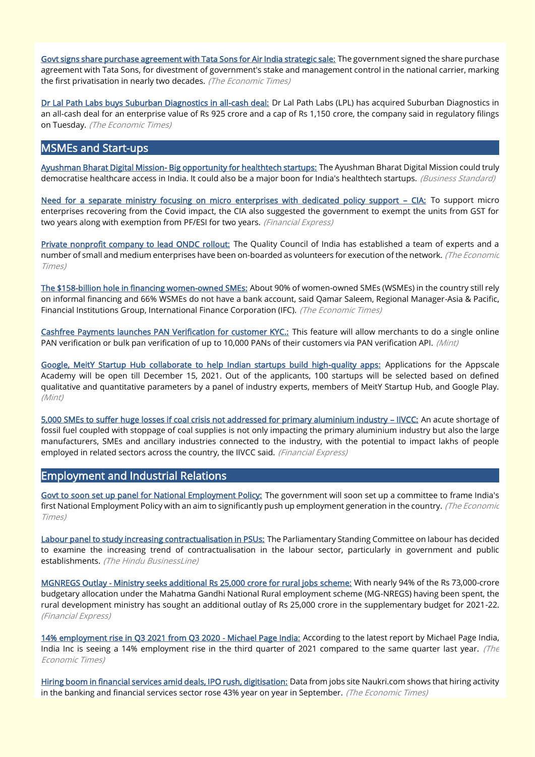[Govt signs share purchase agreement with Tata Sons for Air India strategic sale:](https://economictimes.indiatimes.com/industry/transportation/airlines-/-aviation/govt-signs-share-purchase-agreement-with-tata-sons-for-rs-18000-cr-air-india-deal/articleshow/87258187.cms) The government signed the share purchase agreement with Tata Sons, for divestment of government's stake and management control in the national carrier, marking the first privatisation in nearly two decades. (The Economic Times)

[Dr Lal Path Labs buys Suburban Diagnostics in all-cash deal:](https://economictimes.indiatimes.com/tech/startups/dr-lal-path-labs-buys-suburban-diagnostics-in-all-cash-deal/articleshow/87287858.cms) Dr Lal Path Labs (LPL) has acquired Suburban Diagnostics in an all-cash deal for an enterprise value of Rs 925 crore and a cap of Rs 1,150 crore, the company said in regulatory filings on Tuesday. (The Economic Times)

### MSMEs and Start-ups

[Ayushman Bharat Digital Mission- Big opportunity for healthtech startups:](https://www.business-standard.com/podcast/economy-policy/ayushman-bharat-digital-mission-big-opportunity-for-healthtech-startups-121102900017_1.html) The Ayushman Bharat Digital Mission could truly democratise healthcare access in India. It could also be a major boon for India's healthtech startups. (Business Standard)

[Need for a separate ministry focusing on micro enterprises with dedicated policy support](https://www.financialexpress.com/industry/sme/msme-eodb-need-for-a-separate-ministry-focusing-on-micro-enterprises-with-dedicated-policy-support-cia/2355906/) – CIA: To support micro enterprises recovering from the Covid impact, the CIA also suggested the government to exempt the units from GST for two years along with exemption from PF/ESI for two years. (Financial Express)

[Private nonprofit company to lead ONDC rollout:](https://economictimes.indiatimes.com/industry/services/retail/private-nonprofit-company-to-lead-ondc-rollout/articleshow/87295425.cms) The Quality Council of India has established a team of experts and a number of small and medium enterprises have been on-boarded as volunteers for execution of the network. (The Economic Times)

[The \\$158-billion hole in financing women-owned SMEs:](https://economictimes.indiatimes.com/small-biz/sme-sector/the-158-billion-hole-in-financing-women-owned-smes/articleshow/87296569.cms) About 90% of women-owned SMEs (WSMEs) in the country still rely on informal financing and 66% WSMEs do not have a bank account, said Qamar Saleem, Regional Manager-Asia & Pacific, Financial Institutions Group, International Finance Corporation (IFC). (The Economic Times)

[Cashfree Payments launches PAN Verification for customer KYC.:](https://www.livemint.com/companies/start-ups/cashfree-payments-launches-pan-verification-for-customer-kyc-details-here-11635226072788.html) This feature will allow merchants to do a single online PAN verification or bulk pan verification of up to 10,000 PANs of their customers via PAN verification API. (Mint)

[Google, MeitY Startup Hub collaborate to help Indian startups build high-quality apps:](https://www.livemint.com/news/india/google-meity-startup-hub-collaborate-to-help-indian-startups-build-high-quality-apps-11635331046577.html) Applications for the Appscale Academy will be open till December 15, 2021. Out of the applicants, 100 startups will be selected based on defined qualitative and quantitative parameters by a panel of industry experts, members of MeitY Startup Hub, and Google Play. (Mint)

[5,000 SMEs to suffer huge losses if coal crisis not addressed for primary aluminium industry](https://www.financialexpress.com/industry/sme/5000-smes-to-suffer-huge-losses-if-coal-crisis-not-addressed-for-primary-aluminium-industry-iivcc/2357360/) – IIVCC: An acute shortage of fossil fuel coupled with stoppage of coal supplies is not only impacting the primary aluminium industry but also the large manufacturers, SMEs and ancillary industries connected to the industry, with the potential to impact lakhs of people employed in related sectors across the country, the IIVCC said. (Financial Express)

#### Employment and Industrial Relations

[Govt to soon set up panel for National Employment Policy:](https://economictimes.indiatimes.com/news/economy/policy/govt-to-soon-set-up-panel-for-national-employment-policy/articleshow/87246863.cms) The government will soon set up a committee to frame India's first National Employment Policy with an aim to significantly push up employment generation in the country. (The Economic Times)

[Labour panel to study increasing contractualisation in PSUs:](https://www.thehindubusinessline.com/news/national/labour-panel-to-study-increasing-contractualisation-in-psus/article37178679.ece) The Parliamentary Standing Committee on labour has decided to examine the increasing trend of contractualisation in the labour sector, particularly in government and public establishments. (The Hindu BusinessLine)

[MGNREGS Outlay - Ministry seeks additional Rs 25,000 crore for rural jobs scheme:](https://www.financialexpress.com/economy/mgnregs-outlay-ministry-seeks-additional-rs-25000-crore-for-rural-jobs-scheme/2355949/) With nearly 94% of the Rs 73,000-crore budgetary allocation under the Mahatma Gandhi National Rural employment scheme (MG-NREGS) having been spent, the rural development ministry has sought an additional outlay of Rs 25,000 crore in the supplementary budget for 2021-22. (Financial Express)

[14% employment rise in Q3 2021 from Q3 2020 - Michael Page India:](https://economictimes.indiatimes.com/jobs/14-employment-rise-in-q3-2021-from-q3-2020-michael-page-india/articleshow/87253349.cms) According to the latest report by Michael Page India, India Inc is seeing a 14% employment rise in the third quarter of 2021 compared to the same quarter last year. (The Economic Times)

[Hiring boom in financial services amid deals, IPO rush, digitisation:](https://economictimes.indiatimes.com/jobs/hiring-boom-in-financial-services-amid-deals-ipo-rush-digitisation/articleshow/87298417.cms) Data from jobs site Naukri.com shows that hiring activity in the banking and financial services sector rose 43% year on year in September. (The Economic Times)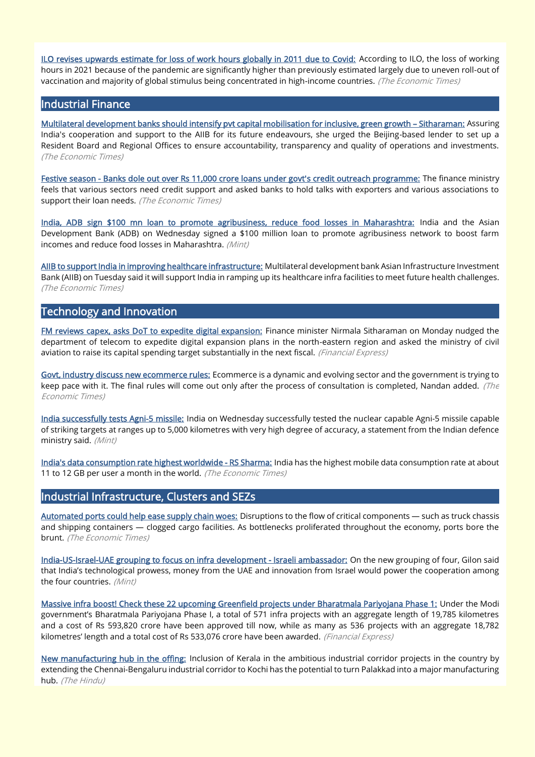[ILO revises upwards estimate for loss of work hours globally in 2011 due to Covid:](https://economictimes.indiatimes.com/news/economy/indicators/ilo-revises-upwards-estimate-for-loss-of-work-hours-globally-in-2011-due-to-covid/articleshow/87308994.cms) According to ILO, the loss of working hours in 2021 because of the pandemic are significantly higher than previously estimated largely due to uneven roll-out of vaccination and majority of global stimulus being concentrated in high-income countries. (The Economic Times)

#### Industrial Finance

[Multilateral development banks should intensify pvt capital mobilisation for inclusive, green growth](https://economictimes.indiatimes.com/news/economy/policy/multilateral-development-banks-should-intensify-pvt-capital-mobilisation-for-inclusive-green-growth-nirmala-sitharaman/articleshow/87286969.cms) – Sitharaman: Assuring India's cooperation and support to the AIIB for its future endeavours, she urged the Beijing-based lender to set up a Resident Board and Regional Offices to ensure accountability, transparency and quality of operations and investments. (The Economic Times)

[Festive season - Banks dole out over Rs 11,000 crore loans under govt's credit outreach programme:](https://bfsi.economictimes.indiatimes.com/news/banking/festive-season-banks-dole-out-over-rs-11000-crore-loans-under-govts-credit-outreach-programme/87273477) The finance ministry feels that various sectors need credit support and asked banks to hold talks with exporters and various associations to support their loan needs. (The Economic Times)

[India, ADB sign \\$100 mn loan to promote agribusiness, reduce food losses in Maharashtra:](https://www.livemint.com/news/india/india-adb-sign-100-mn-loan-to-promote-agribusiness-reduce-food-losses-in-maharashtra-11635343912945.html) India and the Asian Development Bank (ADB) on Wednesday signed a \$100 million loan to promote agribusiness network to boost farm incomes and reduce food losses in Maharashtra. (Mint)

[AIIB to support India in improving healthcare infrastructure:](https://economictimes.indiatimes.com/news/economy/finance/aiib-to-support-india-in-improving-healthcare-infrastructure/articleshow/87284112.cms) Multilateral development bank Asian Infrastructure Investment Bank (AIIB) on Tuesday said it will support India in ramping up its healthcare infra facilities to meet future health challenges. (The Economic Times)

### Technology and Innovation

[FM reviews capex, asks DoT to expedite digital expansion:](https://www.financialexpress.com/economy/fm-reviews-capex-asks-dot-to-expedite-digital-expansion/2356819/) Finance minister Nirmala Sitharaman on Monday nudged the department of telecom to expedite digital expansion plans in the north-eastern region and asked the ministry of civil aviation to raise its capital spending target substantially in the next fiscal. (Financial Express)

[Govt, industry discuss new ecommerce rules:](https://economictimes.indiatimes.com/industry/services/retail/govt-industry-discuss-new-ecommerce-rules/articleshow/87294779.cms) Ecommerce is a dynamic and evolving sector and the government is trying to keep pace with it. The final rules will come out only after the process of consultation is completed, Nandan added. (The Economic Times)

[India successfully tests Agni-5 missile:](https://www.livemint.com/news/india/india-successfully-tests-agni-5-missile-11635351731495.html) India on Wednesday successfully tested the nuclear capable Agni-5 missile capable of striking targets at ranges up to 5,000 kilometres with very high degree of accuracy, a statement from the Indian defence ministry said. (Mint)

[India's data consumption rate highest worldwide - RS Sharma:](https://telecom.economictimes.indiatimes.com/news/indias-data-consumption-rate-highest-worldwide-rs-sharma/87203496) India has the highest mobile data consumption rate at about 11 to 12 GB per user a month in the world. (The Economic Times)

### Industrial Infrastructure, Clusters and SEZs

[Automated ports could help ease supply chain woes:](https://economictimes.indiatimes.com/small-biz/trade/exports/insights/automated-ports-could-help-ease-supply-chain-woes/articleshow/87296187.cms) Disruptions to the flow of critical components - such as truck chassis and shipping containers — clogged cargo facilities. As bottlenecks proliferated throughout the economy, ports bore the brunt. (The Economic Times)

[India-US-Israel-UAE grouping to focus on infra development - Israeli ambassador:](https://www.livemint.com/news/world/indiausisraeluae-grouping-to-focus-on-infra-development-israeli-ambassador-11635409381172.html) On the new grouping of four, Gilon said that India's technological prowess, money from the UAE and innovation from Israel would power the cooperation among the four countries. (Mint)

[Massive infra boost! Check these 22 upcoming Greenfield projects under Bharatmala Pariyojana Phase 1:](https://www.financialexpress.com/infrastructure/roadways/massive-infra-boost-check-these-22-upcoming-greenfield-projects-under-bharatmala-pariyojana-phase-1/2356336/) Under the Modi government's Bharatmala Pariyojana Phase I, a total of 571 infra projects with an aggregate length of 19,785 kilometres and a cost of Rs 593,820 crore have been approved till now, while as many as 536 projects with an aggregate 18,782 kilometres' length and a total cost of Rs 533,076 crore have been awarded. (Financial Express)

[New manufacturing hub in the offing:](https://www.thehindu.com/news/national/kerala/new-manufacturing-hub-in-the-offing/article29808165.ece) Inclusion of Kerala in the ambitious industrial corridor projects in the country by extending the Chennai-Bengaluru industrial corridor to Kochi has the potential to turn Palakkad into a major manufacturing hub. (The Hindu)